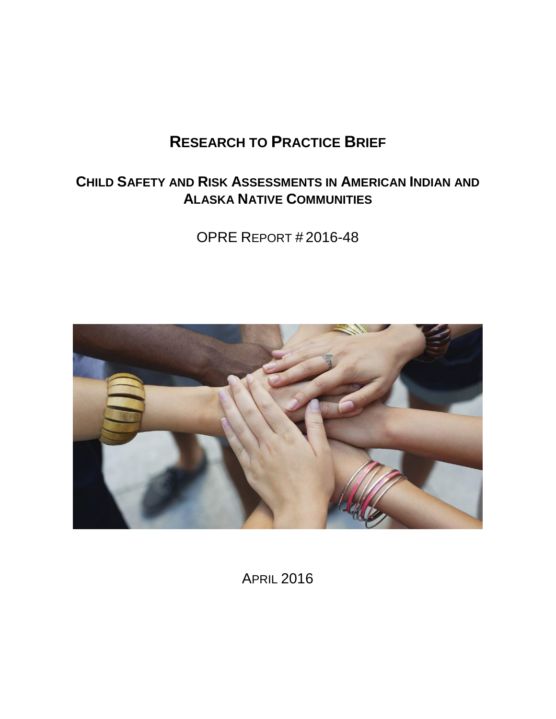# **RESEARCH TO PRACTICE BRIEF**

# **CHILD SAFETY AND RISK ASSESSMENTS IN AMERICAN INDIAN AND ALASKA NATIVE COMMUNITIES**

OPRE REPORT # 2016-48



APRIL 2016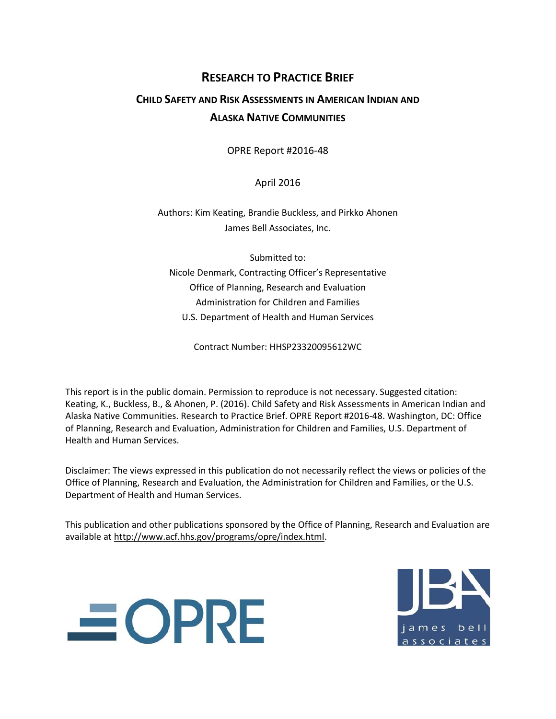## **RESEARCH TO PRACTICE BRIEF**

## **CHILD SAFETY AND RISK ASSESSMENTS IN AMERICAN INDIAN AND ALASKA NATIVE COMMUNITIES**

OPRE Report #2016-48

April 2016

Authors: Kim Keating, Brandie Buckless, and Pirkko Ahonen James Bell Associates, Inc.

Submitted to: Nicole Denmark, Contracting Officer's Representative Office of Planning, Research and Evaluation Administration for Children and Families U.S. Department of Health and Human Services

Contract Number: HHSP23320095612WC

This report is in the public domain. Permission to reproduce is not necessary. Suggested citation: Keating, K., Buckless, B., & Ahonen, P. (2016). Child Safety and Risk Assessments in American Indian and Alaska Native Communities. Research to Practice Brief. OPRE Report #2016-48. Washington, DC: Office of Planning, Research and Evaluation, Administration for Children and Families, U.S. Department of Health and Human Services.

Disclaimer: The views expressed in this publication do not necessarily reflect the views or policies of the Office of Planning, Research and Evaluation, the Administration for Children and Families, or the U.S. Department of Health and Human Services.

This publication and other publications sponsored by the Office of Planning, Research and Evaluation are available a[t http://www.acf.hhs.gov/programs/opre/index.html.](http://www.acf.hhs.gov/programs/opre/index.html)



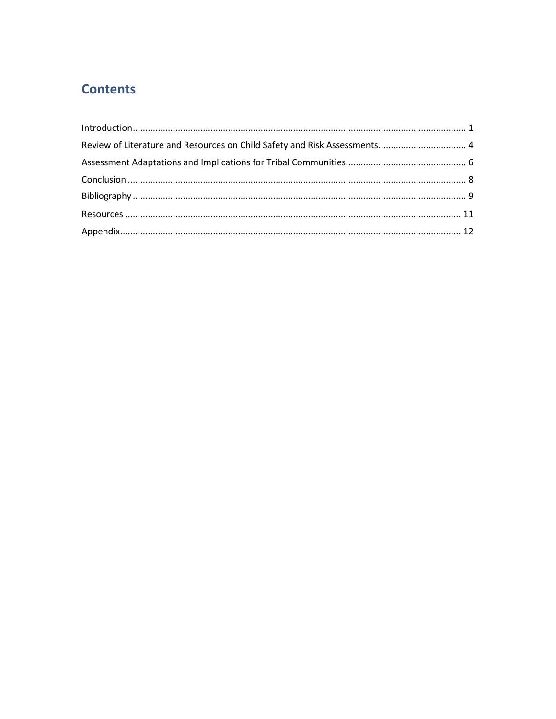# **Contents**

| Review of Literature and Resources on Child Safety and Risk Assessments 4 |  |
|---------------------------------------------------------------------------|--|
|                                                                           |  |
|                                                                           |  |
|                                                                           |  |
|                                                                           |  |
|                                                                           |  |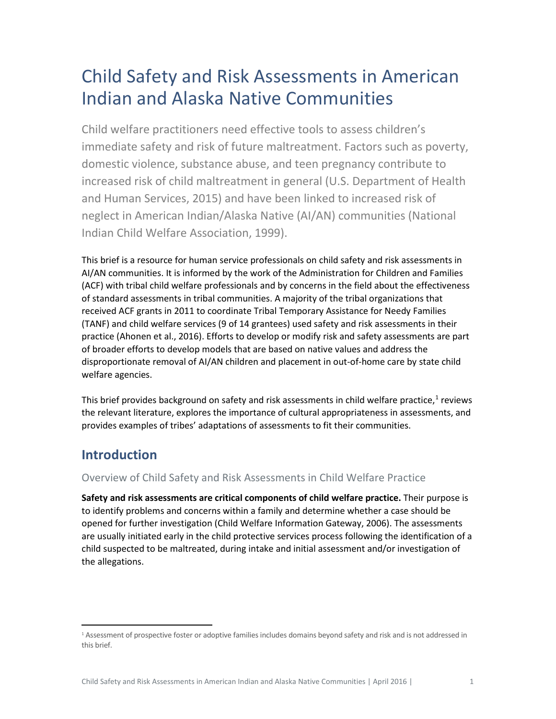# Child Safety and Risk Assessments in American Indian and Alaska Native Communities

Child welfare practitioners need effective tools to assess children's immediate safety and risk of future maltreatment. Factors such as poverty, domestic violence, substance abuse, and teen pregnancy contribute to increased risk of child maltreatment in general (U.S. Department of Health and Human Services, 2015) and have been linked to increased risk of neglect in American Indian/Alaska Native (AI/AN) communities (National Indian Child Welfare Association, 1999).

This brief is a resource for human service professionals on child safety and risk assessments in AI/AN communities. It is informed by the work of the Administration for Children and Families (ACF) with tribal child welfare professionals and by concerns in the field about the effectiveness of standard assessments in tribal communities. A majority of the tribal organizations that received ACF grants in 2011 to coordinate Tribal Temporary Assistance for Needy Families (TANF) and child welfare services (9 of 14 grantees) used safety and risk assessments in their practice (Ahonen et al., 2016). Efforts to develop or modify risk and safety assessments are part of broader efforts to develop models that are based on native values and address the disproportionate removal of AI/AN children and placement in out-of-home care by state child welfare agencies.

This brief provides background on safety and risk assessments in child welfare practice,<sup>[1](#page-3-1)</sup> reviews the relevant literature, explores the importance of cultural appropriateness in assessments, and provides examples of tribes' adaptations of assessments to fit their communities.

# <span id="page-3-0"></span>**Introduction**

 $\overline{\phantom{a}}$ 

## Overview of Child Safety and Risk Assessments in Child Welfare Practice

**Safety and risk assessments are critical components of child welfare practice.** Their purpose is to identify problems and concerns within a family and determine whether a case should be opened for further investigation (Child Welfare Information Gateway, 2006). The assessments are usually initiated early in the child protective services process following the identification of a child suspected to be maltreated, during intake and initial assessment and/or investigation of the allegations.

<span id="page-3-1"></span><sup>&</sup>lt;sup>1</sup> Assessment of prospective foster or adoptive families includes domains beyond safety and risk and is not addressed in this brief.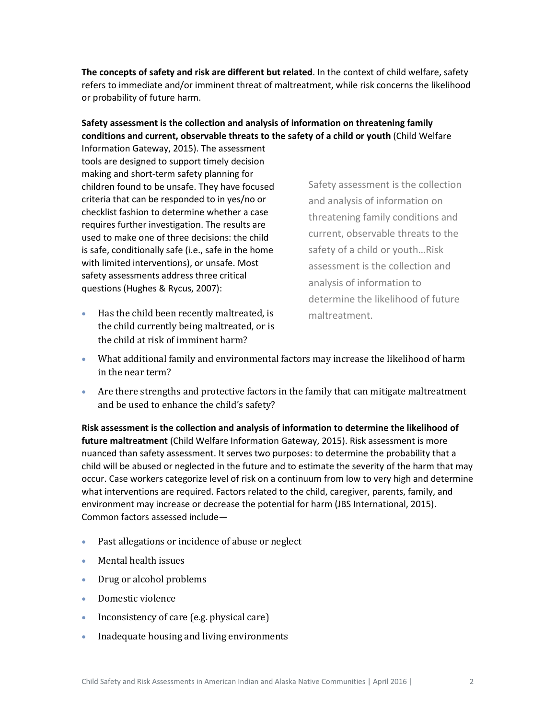**The concepts of safety and risk are different but related**. In the context of child welfare, safety refers to immediate and/or imminent threat of maltreatment, while risk concerns the likelihood or probability of future harm.

## **Safety assessment is the collection and analysis of information on threatening family conditions and current, observable threats to the safety of a child or youth** (Child Welfare

Information Gateway, 2015). The assessment tools are designed to support timely decision making and short-term safety planning for children found to be unsafe. They have focused criteria that can be responded to in yes/no or checklist fashion to determine whether a case requires further investigation. The results are used to make one of three decisions: the child is safe, conditionally safe (i.e., safe in the home with limited interventions), or unsafe. Most safety assessments address three critical questions (Hughes & Rycus, 2007):

• Has the child been recently maltreated, is the child currently being maltreated, or is the child at risk of imminent harm?

Safety assessment is the collection and analysis of information on threatening family conditions and current, observable threats to the safety of a child or youth…Risk assessment is the collection and analysis of information to determine the likelihood of future maltreatment.

- What additional family and environmental factors may increase the likelihood of harm in the near term?
- Are there strengths and protective factors in the family that can mitigate maltreatment and be used to enhance the child's safety?

**Risk assessment is the collection and analysis of information to determine the likelihood of future maltreatment** (Child Welfare Information Gateway, 2015). Risk assessment is more nuanced than safety assessment. It serves two purposes: to determine the probability that a child will be abused or neglected in the future and to estimate the severity of the harm that may occur. Case workers categorize level of risk on a continuum from low to very high and determine what interventions are required. Factors related to the child, caregiver, parents, family, and environment may increase or decrease the potential for harm (JBS International, 2015). Common factors assessed include—

- Past allegations or incidence of abuse or neglect
- Mental health issues
- Drug or alcohol problems
- Domestic violence
- Inconsistency of care (e.g. physical care)
- Inadequate housing and living environments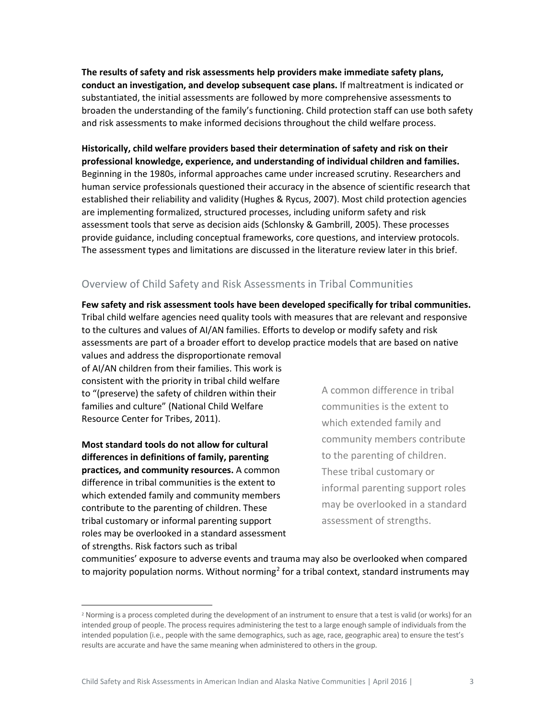**The results of safety and risk assessments help providers make immediate safety plans, conduct an investigation, and develop subsequent case plans.** If maltreatment is indicated or substantiated, the initial assessments are followed by more comprehensive assessments to broaden the understanding of the family's functioning. Child protection staff can use both safety and risk assessments to make informed decisions throughout the child welfare process.

**Historically, child welfare providers based their determination of safety and risk on their professional knowledge, experience, and understanding of individual children and families.** Beginning in the 1980s, informal approaches came under increased scrutiny. Researchers and human service professionals questioned their accuracy in the absence of scientific research that established their reliability and validity (Hughes & Rycus, 2007). Most child protection agencies are implementing formalized, structured processes, including uniform safety and risk assessment tools that serve as decision aids (Schlonsky & Gambrill, 2005). These processes provide guidance, including conceptual frameworks, core questions, and interview protocols. The assessment types and limitations are discussed in the literature review later in this brief.

## Overview of Child Safety and Risk Assessments in Tribal Communities

**Few safety and risk assessment tools have been developed specifically for tribal communities.** Tribal child welfare agencies need quality tools with measures that are relevant and responsive to the cultures and values of AI/AN families. Efforts to develop or modify safety and risk assessments are part of a broader effort to develop practice models that are based on native

values and address the disproportionate removal of AI/AN children from their families. This work is consistent with the priority in tribal child welfare to "(preserve) the safety of children within their families and culture" (National Child Welfare Resource Center for Tribes, 2011).

**Most standard tools do not allow for cultural differences in definitions of family, parenting practices, and community resources.** A common difference in tribal communities is the extent to which extended family and community members contribute to the parenting of children. These tribal customary or informal parenting support roles may be overlooked in a standard assessment of strengths. Risk factors such as tribal

A common difference in tribal communities is the extent to which extended family and community members contribute to the parenting of children. These tribal customary or informal parenting support roles may be overlooked in a standard assessment of strengths.

communities' exposure to adverse events and trauma may also be overlooked when compared to majority population norms. Without norming<sup>[2](#page-5-0)</sup> for a tribal context, standard instruments may

<span id="page-5-0"></span><sup>&</sup>lt;sup>2</sup> Norming is a process completed during the development of an instrument to ensure that a test is valid (or works) for an intended group of people. The process requires administering the test to a large enough sample of individuals from the intended population (i.e., people with the same demographics, such as age, race, geographic area) to ensure the test's results are accurate and have the same meaning when administered to others in the group.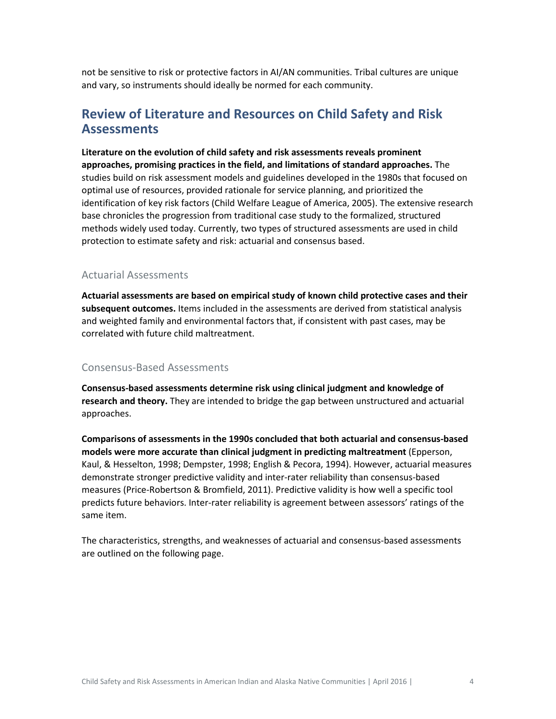not be sensitive to risk or protective factors in AI/AN communities. Tribal cultures are unique and vary, so instruments should ideally be normed for each community.

## <span id="page-6-0"></span>**Review of Literature and Resources on Child Safety and Risk Assessments**

**Literature on the evolution of child safety and risk assessments reveals prominent approaches, promising practices in the field, and limitations of standard approaches.** The studies build on risk assessment models and guidelines developed in the 1980s that focused on optimal use of resources, provided rationale for service planning, and prioritized the identification of key risk factors (Child Welfare League of America, 2005). The extensive research base chronicles the progression from traditional case study to the formalized, structured methods widely used today. Currently, two types of structured assessments are used in child protection to estimate safety and risk: actuarial and consensus based.

## Actuarial Assessments

**Actuarial assessments are based on empirical study of known child protective cases and their subsequent outcomes.** Items included in the assessments are derived from statistical analysis and weighted family and environmental factors that, if consistent with past cases, may be correlated with future child maltreatment.

### Consensus-Based Assessments

**Consensus-based assessments determine risk using clinical judgment and knowledge of research and theory.** They are intended to bridge the gap between unstructured and actuarial approaches.

**Comparisons of assessments in the 1990s concluded that both actuarial and consensus-based models were more accurate than clinical judgment in predicting maltreatment** (Epperson, Kaul, & Hesselton, 1998; Dempster, 1998; English & Pecora, 1994). However, actuarial measures demonstrate stronger predictive validity and inter-rater reliability than consensus-based measures (Price-Robertson & Bromfield, 2011). Predictive validity is how well a specific tool predicts future behaviors. Inter-rater reliability is agreement between assessors' ratings of the same item.

The characteristics, strengths, and weaknesses of actuarial and consensus-based assessments are outlined on the following page.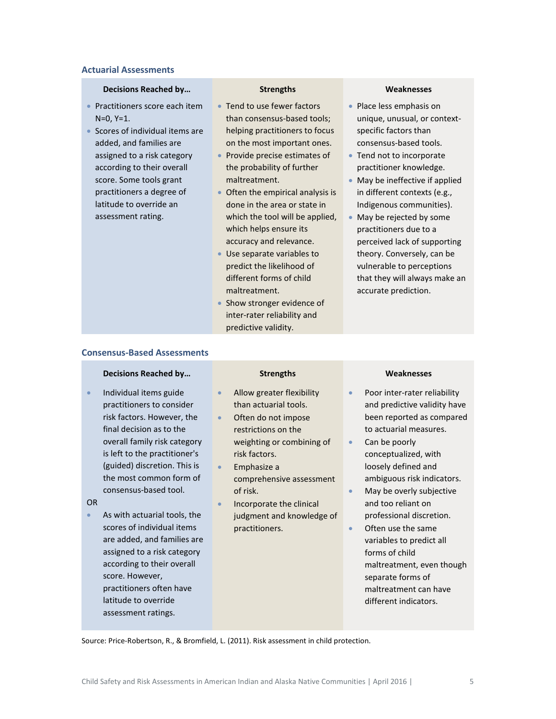### **Actuarial Assessments**

### **Decisions Reached by… Strengths Weaknesses**

- Practitioners score each item N=0, Y=1.
- Scores of individual items are added, and families are assigned to a risk category according to their overall score. Some tools grant practitioners a degree of latitude to override an assessment rating.

- Tend to use fewer factors than consensus-based tools; helping practitioners to focus on the most important ones.
- Provide precise estimates of the probability of further maltreatment.
- Often the empirical analysis is done in the area or state in which the tool will be applied, which helps ensure its accuracy and relevance.
- Use separate variables to predict the likelihood of different forms of child maltreatment.
- Show stronger evidence of inter-rater reliability and predictive validity.

- Place less emphasis on unique, unusual, or contextspecific factors than consensus-based tools.
- Tend not to incorporate practitioner knowledge.
- May be ineffective if applied in different contexts (e.g., Indigenous communities).
- May be rejected by some practitioners due to a perceived lack of supporting theory. Conversely, can be vulnerable to perceptions that they will always make an accurate prediction.

### **Consensus-Based Assessments**

#### **Decisions Reached by… Strengths Weaknesses**

• Individual items guide practitioners to consider risk factors. However, the final decision as to the overall family risk category is left to the practitioner's (guided) discretion. This is the most common form of consensus-based tool.

#### OR

As with actuarial tools, the scores of individual items are added, and families are assigned to a risk category according to their overall score. However, practitioners often have latitude to override assessment ratings.

- Allow greater flexibility than actuarial tools.
- Often do not impose restrictions on the weighting or combining of risk factors.
- Emphasize a comprehensive assessment of risk.
- Incorporate the clinical judgment and knowledge of practitioners.

- Poor inter-rater reliability and predictive validity have been reported as compared to actuarial measures.
- Can be poorly conceptualized, with loosely defined and ambiguous risk indicators.
- May be overly subjective and too reliant on professional discretion.
- Often use the same variables to predict all forms of child maltreatment, even though separate forms of maltreatment can have different indicators.

Source: Price-Robertson, R., & Bromfield, L. (2011). Risk assessment in child protection.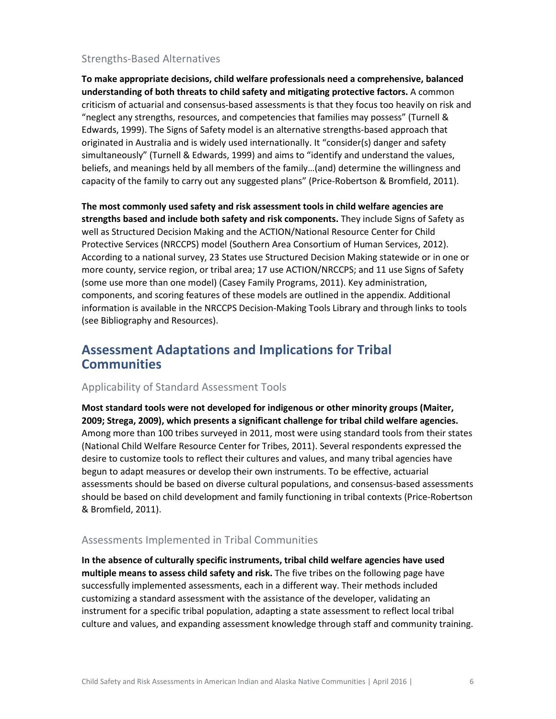## Strengths-Based Alternatives

**To make appropriate decisions, child welfare professionals need a comprehensive, balanced understanding of both threats to child safety and mitigating protective factors.** A common criticism of actuarial and consensus-based assessments is that they focus too heavily on risk and "neglect any strengths, resources, and competencies that families may possess" (Turnell & Edwards, 1999). The Signs of Safety model is an alternative strengths-based approach that originated in Australia and is widely used internationally. It "consider(s) danger and safety simultaneously" (Turnell & Edwards, 1999) and aims to "identify and understand the values, beliefs, and meanings held by all members of the family…(and) determine the willingness and capacity of the family to carry out any suggested plans" (Price-Robertson & Bromfield, 2011).

**The most commonly used safety and risk assessment tools in child welfare agencies are strengths based and include both safety and risk components.** They include Signs of Safety as well as Structured Decision Making and the ACTION/National Resource Center for Child Protective Services (NRCCPS) model (Southern Area Consortium of Human Services, 2012). According to a national survey, 23 States use Structured Decision Making statewide or in one or more county, service region, or tribal area; 17 use ACTION/NRCCPS; and 11 use Signs of Safety (some use more than one model) (Casey Family Programs, 2011). Key administration, components, and scoring features of these models are outlined in the appendix. Additional information is available in the NRCCPS Decision-Making Tools Library and through links to tools (see Bibliography and Resources).

## <span id="page-8-0"></span>**Assessment Adaptations and Implications for Tribal Communities**

### Applicability of Standard Assessment Tools

**Most standard tools were not developed for indigenous or other minority groups (Maiter, 2009; Strega, 2009), which presents a significant challenge for tribal child welfare agencies.** Among more than 100 tribes surveyed in 2011, most were using standard tools from their states (National Child Welfare Resource Center for Tribes, 2011). Several respondents expressed the desire to customize tools to reflect their cultures and values, and many tribal agencies have begun to adapt measures or develop their own instruments. To be effective, actuarial assessments should be based on diverse cultural populations, and consensus-based assessments should be based on child development and family functioning in tribal contexts (Price-Robertson & Bromfield, 2011).

## Assessments Implemented in Tribal Communities

**In the absence of culturally specific instruments, tribal child welfare agencies have used multiple means to assess child safety and risk.** The five tribes on the following page have successfully implemented assessments, each in a different way. Their methods included customizing a standard assessment with the assistance of the developer, validating an instrument for a specific tribal population, adapting a state assessment to reflect local tribal culture and values, and expanding assessment knowledge through staff and community training.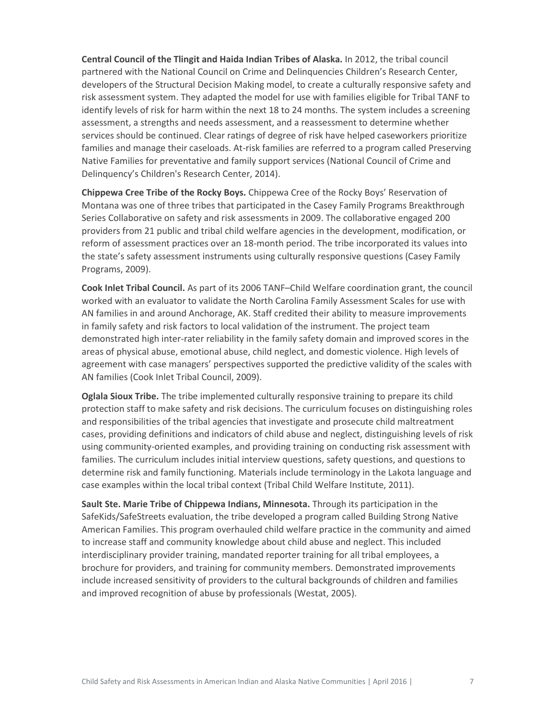**Central Council of the Tlingit and Haida Indian Tribes of Alaska.** In 2012, the tribal council partnered with the National Council on Crime and Delinquencies Children's Research Center, developers of the Structural Decision Making model, to create a culturally responsive safety and risk assessment system. They adapted the model for use with families eligible for Tribal TANF to identify levels of risk for harm within the next 18 to 24 months. The system includes a screening assessment, a strengths and needs assessment, and a reassessment to determine whether services should be continued. Clear ratings of degree of risk have helped caseworkers prioritize families and manage their caseloads. At-risk families are referred to a program called Preserving Native Families for preventative and family support services (National Council of Crime and Delinquency's Children's Research Center, 2014).

**Chippewa Cree Tribe of the Rocky Boys.** Chippewa Cree of the Rocky Boys' Reservation of Montana was one of three tribes that participated in the Casey Family Programs Breakthrough Series Collaborative on safety and risk assessments in 2009. The collaborative engaged 200 providers from 21 public and tribal child welfare agencies in the development, modification, or reform of assessment practices over an 18-month period. The tribe incorporated its values into the state's safety assessment instruments using culturally responsive questions (Casey Family Programs, 2009).

**Cook Inlet Tribal Council.** As part of its 2006 TANF–Child Welfare coordination grant, the council worked with an evaluator to validate the North Carolina Family Assessment Scales for use with AN families in and around Anchorage, AK. Staff credited their ability to measure improvements in family safety and risk factors to local validation of the instrument. The project team demonstrated high inter-rater reliability in the family safety domain and improved scores in the areas of physical abuse, emotional abuse, child neglect, and domestic violence. High levels of agreement with case managers' perspectives supported the predictive validity of the scales with AN families (Cook Inlet Tribal Council, 2009).

**Oglala Sioux Tribe.** The tribe implemented culturally responsive training to prepare its child protection staff to make safety and risk decisions. The curriculum focuses on distinguishing roles and responsibilities of the tribal agencies that investigate and prosecute child maltreatment cases, providing definitions and indicators of child abuse and neglect, distinguishing levels of risk using community-oriented examples, and providing training on conducting risk assessment with families. The curriculum includes initial interview questions, safety questions, and questions to determine risk and family functioning. Materials include terminology in the Lakota language and case examples within the local tribal context (Tribal Child Welfare Institute, 2011).

**Sault Ste. Marie Tribe of Chippewa Indians, Minnesota.** Through its participation in the SafeKids/SafeStreets evaluation, the tribe developed a program called Building Strong Native American Families. This program overhauled child welfare practice in the community and aimed to increase staff and community knowledge about child abuse and neglect. This included interdisciplinary provider training, mandated reporter training for all tribal employees, a brochure for providers, and training for community members. Demonstrated improvements include increased sensitivity of providers to the cultural backgrounds of children and families and improved recognition of abuse by professionals (Westat, 2005).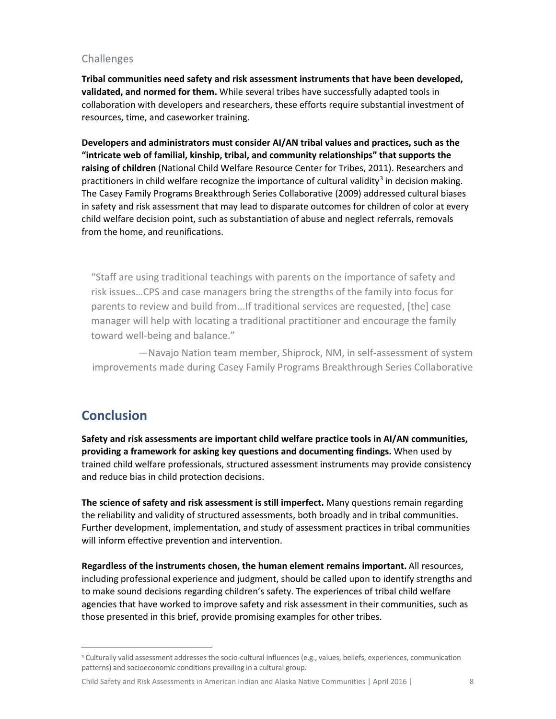## Challenges

**Tribal communities need safety and risk assessment instruments that have been developed, validated, and normed for them.** While several tribes have successfully adapted tools in collaboration with developers and researchers, these efforts require substantial investment of resources, time, and caseworker training.

**Developers and administrators must consider AI/AN tribal values and practices, such as the "intricate web of familial, kinship, tribal, and community relationships" that supports the raising of children** (National Child Welfare Resource Center for Tribes, 2011). Researchers and practitioners in child welfare recognize the importance of cultural validity<sup>[3](#page-10-1)</sup> in decision making. The Casey Family Programs Breakthrough Series Collaborative (2009) addressed cultural biases in safety and risk assessment that may lead to disparate outcomes for children of color at every child welfare decision point, such as substantiation of abuse and neglect referrals, removals from the home, and reunifications.

"Staff are using traditional teachings with parents on the importance of safety and risk issues…CPS and case managers bring the strengths of the family into focus for parents to review and build from...If traditional services are requested, [the] case manager will help with locating a traditional practitioner and encourage the family toward well-being and balance."

—Navajo Nation team member, Shiprock, NM, in self-assessment of system improvements made during Casey Family Programs Breakthrough Series Collaborative

# <span id="page-10-0"></span>**Conclusion**

**Safety and risk assessments are important child welfare practice tools in AI/AN communities, providing a framework for asking key questions and documenting findings.** When used by trained child welfare professionals, structured assessment instruments may provide consistency and reduce bias in child protection decisions.

**The science of safety and risk assessment is still imperfect.** Many questions remain regarding the reliability and validity of structured assessments, both broadly and in tribal communities. Further development, implementation, and study of assessment practices in tribal communities will inform effective prevention and intervention.

**Regardless of the instruments chosen, the human element remains important.** All resources, including professional experience and judgment, should be called upon to identify strengths and to make sound decisions regarding children's safety. The experiences of tribal child welfare agencies that have worked to improve safety and risk assessment in their communities, such as those presented in this brief, provide promising examples for other tribes.

Child Safety and Risk Assessments in American Indian and Alaska Native Communities | April 2016 | 8

<span id="page-10-1"></span><sup>&</sup>lt;sup>3</sup> Culturally valid assessment addresses the socio-cultural influences (e.g., values, beliefs, experiences, communication patterns) and socioeconomic conditions prevailing in a cultural group.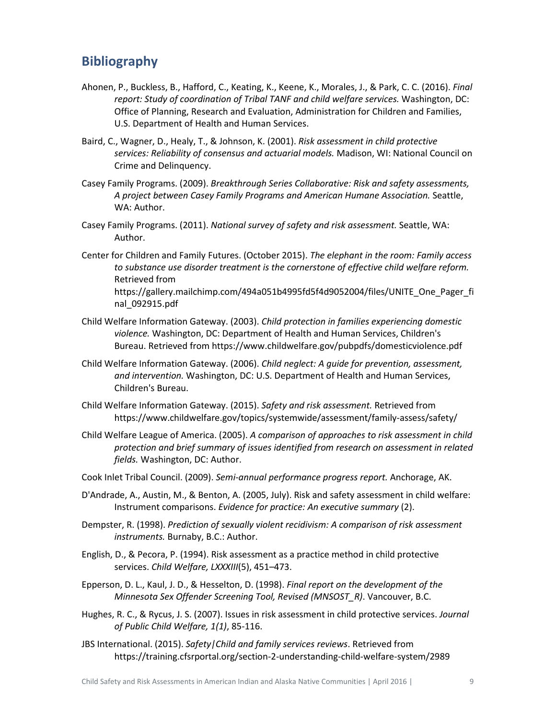## <span id="page-11-0"></span>**Bibliography**

- Ahonen, P., Buckless, B., Hafford, C., Keating, K., Keene, K., Morales, J., & Park, C. C. (2016). *Final report: Study of coordination of Tribal TANF and child welfare services.* Washington, DC: Office of Planning, Research and Evaluation, Administration for Children and Families, U.S. Department of Health and Human Services.
- Baird, C., Wagner, D., Healy, T., & Johnson, K. (2001). *Risk assessment in child protective services: Reliability of consensus and actuarial models.* Madison, WI: National Council on Crime and Delinquency.
- Casey Family Programs. (2009). *Breakthrough Series Collaborative: Risk and safety assessments, A project between Casey Family Programs and American Humane Association.* Seattle, WA: Author.
- Casey Family Programs. (2011). *National survey of safety and risk assessment.* Seattle, WA: Author.
- Center for Children and Family Futures. (October 2015). *The elephant in the room: Family access to substance use disorder treatment is the cornerstone of effective child welfare reform.* Retrieved from https://gallery.mailchimp.com/494a051b4995fd5f4d9052004/files/UNITE\_One\_Pager\_fi nal\_092915.pdf
- Child Welfare Information Gateway. (2003). *Child protection in families experiencing domestic violence.* Washington, DC: Department of Health and Human Services, Children's Bureau. Retrieved from https://www.childwelfare.gov/pubpdfs/domesticviolence.pdf
- Child Welfare Information Gateway. (2006). *Child neglect: A guide for prevention, assessment, and intervention.* Washington, DC: U.S. Department of Health and Human Services, Children's Bureau.
- Child Welfare Information Gateway. (2015). *Safety and risk assessment.* Retrieved from https://www.childwelfare.gov/topics/systemwide/assessment/family-assess/safety/
- Child Welfare League of America. (2005). *A comparison of approaches to risk assessment in child protection and brief summary of issues identified from research on assessment in related fields.* Washington, DC: Author.
- Cook Inlet Tribal Council. (2009). *Semi-annual performance progress report.* Anchorage, AK.
- D'Andrade, A., Austin, M., & Benton, A. (2005, July). Risk and safety assessment in child welfare: Instrument comparisons. *Evidence for practice: An executive summary* (2).
- Dempster, R. (1998). *Prediction of sexually violent recidivism: A comparison of risk assessment instruments.* Burnaby, B.C.: Author.
- English, D., & Pecora, P. (1994). Risk assessment as a practice method in child protective services. *Child Welfare, LXXXIII*(5), 451–473.
- Epperson, D. L., Kaul, J. D., & Hesselton, D. (1998). *Final report on the development of the Minnesota Sex Offender Screening Tool, Revised (MNSOST\_R)*. Vancouver, B.C.
- Hughes, R. C., & Rycus, J. S. (2007). Issues in risk assessment in child protective services. *Journal of Public Child Welfare, 1(1)*, 85-116.
- JBS International. (2015). *Safety|Child and family services reviews*. Retrieved from https://training.cfsrportal.org/section-2-understanding-child-welfare-system/2989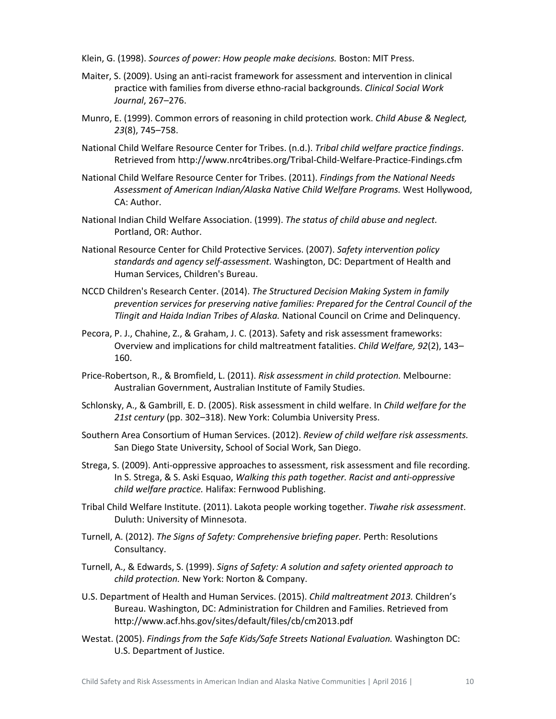Klein, G. (1998). *Sources of power: How people make decisions.* Boston: MIT Press.

- Maiter, S. (2009). Using an anti-racist framework for assessment and intervention in clinical practice with families from diverse ethno-racial backgrounds. *Clinical Social Work Journal*, 267–276.
- Munro, E. (1999). Common errors of reasoning in child protection work. *Child Abuse & Neglect, 23*(8), 745–758.
- National Child Welfare Resource Center for Tribes. (n.d.). *Tribal child welfare practice findings*. Retrieved from http://www.nrc4tribes.org/Tribal-Child-Welfare-Practice-Findings.cfm
- National Child Welfare Resource Center for Tribes. (2011). *Findings from the National Needs Assessment of American Indian/Alaska Native Child Welfare Programs.* West Hollywood, CA: Author.
- National Indian Child Welfare Association. (1999). *The status of child abuse and neglect.* Portland, OR: Author.
- National Resource Center for Child Protective Services. (2007). *Safety intervention policy standards and agency self-assessment.* Washington, DC: Department of Health and Human Services, Children's Bureau.
- NCCD Children's Research Center. (2014). *The Structured Decision Making System in family prevention services for preserving native families: Prepared for the Central Council of the Tlingit and Haida Indian Tribes of Alaska.* National Council on Crime and Delinquency.
- Pecora, P. J., Chahine, Z., & Graham, J. C. (2013). Safety and risk assessment frameworks: Overview and implications for child maltreatment fatalities. *Child Welfare, 92*(2), 143– 160.
- Price-Robertson, R., & Bromfield, L. (2011). *Risk assessment in child protection.* Melbourne: Australian Government, Australian Institute of Family Studies.
- Schlonsky, A., & Gambrill, E. D. (2005). Risk assessment in child welfare. In *Child welfare for the 21st century* (pp. 302–318). New York: Columbia University Press.
- Southern Area Consortium of Human Services. (2012). *Review of child welfare risk assessments.* San Diego State University, School of Social Work, San Diego.
- Strega, S. (2009). Anti-oppressive approaches to assessment, risk assessment and file recording. In S. Strega, & S. Aski Esquao, *Walking this path together. Racist and anti-oppressive child welfare practice.* Halifax: Fernwood Publishing.
- Tribal Child Welfare Institute. (2011). Lakota people working together. *Tiwahe risk assessment*. Duluth: University of Minnesota.
- Turnell, A. (2012). *The Signs of Safety: Comprehensive briefing paper.* Perth: Resolutions Consultancy.
- Turnell, A., & Edwards, S. (1999). *Signs of Safety: A solution and safety oriented approach to child protection.* New York: Norton & Company.
- U.S. Department of Health and Human Services. (2015). *Child maltreatment 2013.* Children's Bureau. Washington, DC: Administration for Children and Families. Retrieved from http://www.acf.hhs.gov/sites/default/files/cb/cm2013.pdf
- Westat. (2005). *Findings from the Safe Kids/Safe Streets National Evaluation.* Washington DC: U.S. Department of Justice.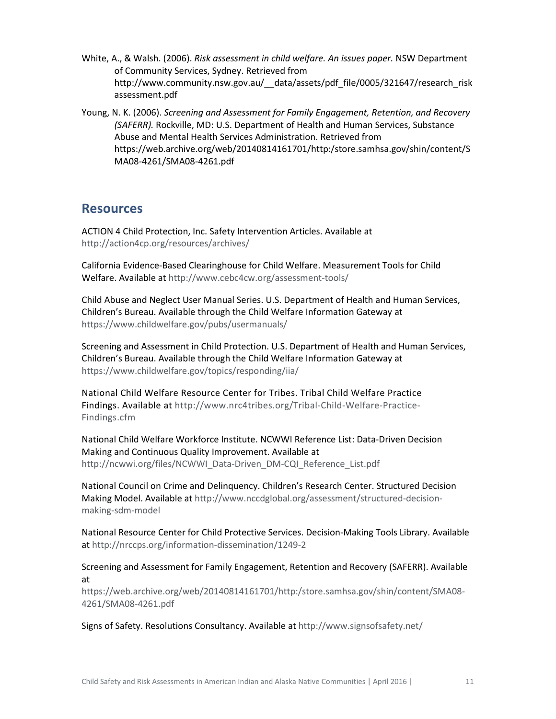- White, A., & Walsh. (2006). *Risk assessment in child welfare. An issues paper.* NSW Department of Community Services, Sydney. Retrieved from http://www.community.nsw.gov.au/\_\_data/assets/pdf\_file/0005/321647/research\_risk assessment.pdf
- Young, N. K. (2006). *Screening and Assessment for Family Engagement, Retention, and Recovery (SAFERR).* Rockville, MD: U.S. Department of Health and Human Services, Substance Abuse and Mental Health Services Administration. Retrieved from https://web.archive.org/web/20140814161701/http:/store.samhsa.gov/shin/content/S MA08-4261/SMA08-4261.pdf

## <span id="page-13-0"></span>**Resources**

ACTION 4 Child Protection, Inc. Safety Intervention Articles. Available at <http://action4cp.org/resources/archives/>

California Evidence-Based Clearinghouse for Child Welfare. Measurement Tools for Child Welfare. Available a[t http://www.cebc4cw.org/assessment-tools/](http://www.cebc4cw.org/assessment-tools/)

Child Abuse and Neglect User Manual Series. U.S. Department of Health and Human Services, Children's Bureau. Available through the Child Welfare Information Gateway at <https://www.childwelfare.gov/pubs/usermanuals/>

Screening and Assessment in Child Protection. U.S. Department of Health and Human Services, Children's Bureau. Available through the Child Welfare Information Gateway at <https://www.childwelfare.gov/topics/responding/iia/>

National Child Welfare Resource Center for Tribes. Tribal Child Welfare Practice Findings. Available at [http://www.nrc4tribes.org/Tribal-Child-Welfare-Practice-](http://www.nrc4tribes.org/Tribal-Child-Welfare-Practice-Findings.cfm)[Findings.cfm](http://www.nrc4tribes.org/Tribal-Child-Welfare-Practice-Findings.cfm)

National Child Welfare Workforce Institute. NCWWI Reference List: Data-Driven Decision Making and Continuous Quality Improvement. Available at [http://ncwwi.org/files/NCWWI\\_Data-Driven\\_DM-CQI\\_Reference\\_List.pdf](http://ncwwi.org/files/NCWWI_Data-Driven_DM-CQI_Reference_List.pdf)

National Council on Crime and Delinquency. Children's Research Center. Structured Decision Making Model. Available a[t http://www.nccdglobal.org/assessment/structured-decision](http://www.nccdglobal.org/assessment/structured-decision-making-sdm-model)[making-sdm-model](http://www.nccdglobal.org/assessment/structured-decision-making-sdm-model) 

National Resource Center for Child Protective Services. Decision-Making Tools Library. Available at<http://nrccps.org/information-dissemination/1249-2>

Screening and Assessment for Family Engagement, Retention and Recovery (SAFERR). Available at

[https://web.archive.org/web/20140814161701/http:/store.samhsa.gov/shin/content/SMA08-](https://web.archive.org/web/20140814161701/http:/store.samhsa.gov/shin/content/SMA08-4261/SMA08-4261.pdf) [4261/SMA08-4261.pdf](https://web.archive.org/web/20140814161701/http:/store.samhsa.gov/shin/content/SMA08-4261/SMA08-4261.pdf)

Signs of Safety. Resolutions Consultancy. Available at<http://www.signsofsafety.net/>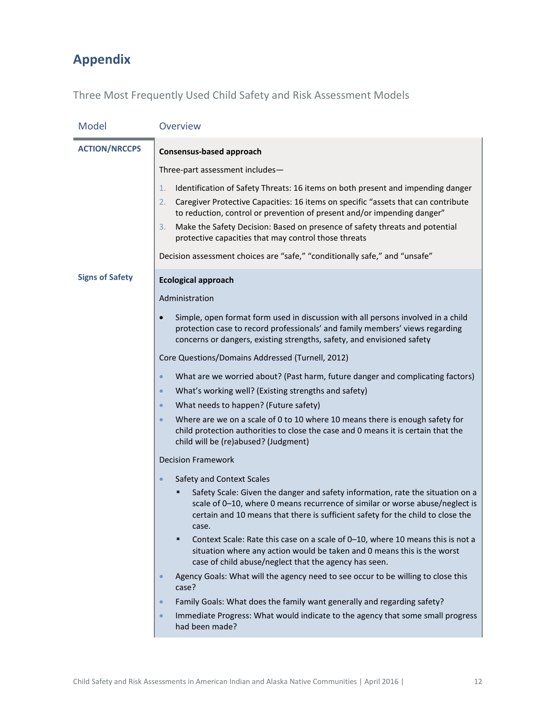# <span id="page-14-0"></span>**Appendix**

Three Most Frequently Used Child Safety and Risk Assessment Models

| Model                  | Overview                                                                                                                                                                                                                                                   |
|------------------------|------------------------------------------------------------------------------------------------------------------------------------------------------------------------------------------------------------------------------------------------------------|
| <b>ACTION/NRCCPS</b>   | <b>Consensus-based approach</b>                                                                                                                                                                                                                            |
|                        | Three-part assessment includes-                                                                                                                                                                                                                            |
|                        | 1.<br>Identification of Safety Threats: 16 items on both present and impending danger                                                                                                                                                                      |
|                        | Caregiver Protective Capacities: 16 items on specific "assets that can contribute<br>2.<br>to reduction, control or prevention of present and/or impending danger"                                                                                         |
|                        | 3.<br>Make the Safety Decision: Based on presence of safety threats and potential<br>protective capacities that may control those threats                                                                                                                  |
|                        | Decision assessment choices are "safe," "conditionally safe," and "unsafe"                                                                                                                                                                                 |
| <b>Signs of Safety</b> | <b>Ecological approach</b>                                                                                                                                                                                                                                 |
|                        | Administration                                                                                                                                                                                                                                             |
|                        | Simple, open format form used in discussion with all persons involved in a child<br>$\bullet$<br>protection case to record professionals' and family members' views regarding<br>concerns or dangers, existing strengths, safety, and envisioned safety    |
|                        | Core Questions/Domains Addressed (Turnell, 2012)                                                                                                                                                                                                           |
|                        | What are we worried about? (Past harm, future danger and complicating factors)<br>$\bullet$                                                                                                                                                                |
|                        | What's working well? (Existing strengths and safety)<br>$\bullet$                                                                                                                                                                                          |
|                        | What needs to happen? (Future safety)<br>$\bullet$                                                                                                                                                                                                         |
|                        | Where are we on a scale of 0 to 10 where 10 means there is enough safety for<br>$\bullet$<br>child protection authorities to close the case and 0 means it is certain that the<br>child will be (re)abused? (Judgment)                                     |
|                        | <b>Decision Framework</b>                                                                                                                                                                                                                                  |
|                        | Safety and Context Scales<br>$\bullet$                                                                                                                                                                                                                     |
|                        | Safety Scale: Given the danger and safety information, rate the situation on a<br>scale of 0-10, where 0 means recurrence of similar or worse abuse/neglect is<br>certain and 10 means that there is sufficient safety for the child to close the<br>case. |
|                        | Context Scale: Rate this case on a scale of 0-10, where 10 means this is not a<br>situation where any action would be taken and 0 means this is the worst<br>case of child abuse/neglect that the agency has seen.                                         |
|                        | Agency Goals: What will the agency need to see occur to be willing to close this<br>$\bullet$<br>case?                                                                                                                                                     |
|                        | Family Goals: What does the family want generally and regarding safety?<br>$\bullet$                                                                                                                                                                       |
|                        | Immediate Progress: What would indicate to the agency that some small progress<br>$\bullet$<br>had been made?                                                                                                                                              |